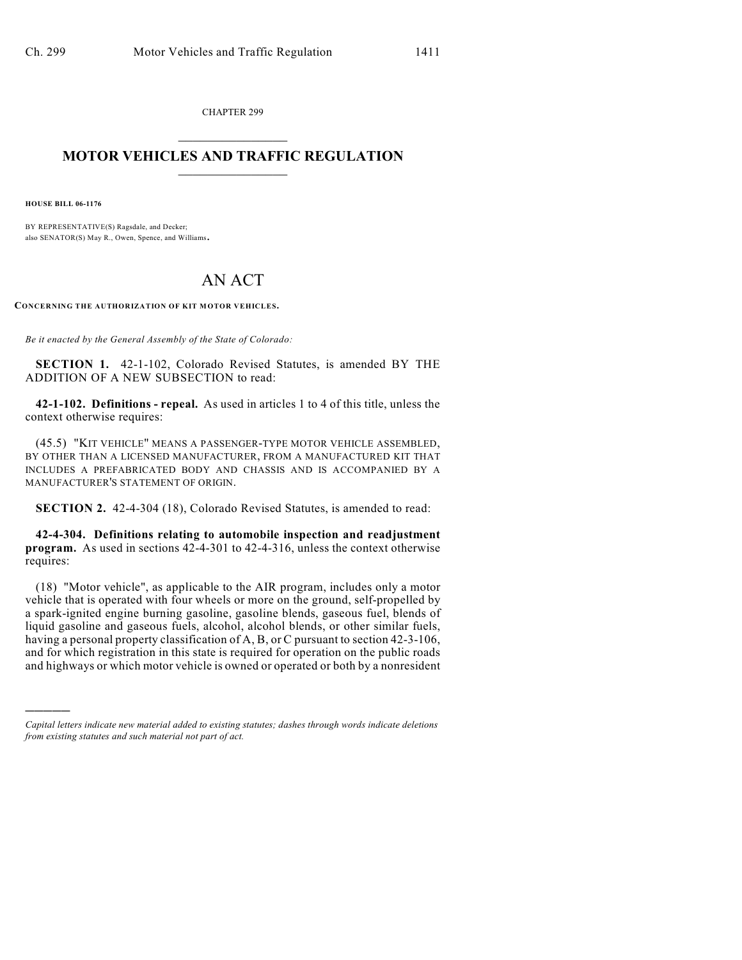CHAPTER 299  $\overline{\phantom{a}}$  . The set of the set of the set of the set of the set of the set of the set of the set of the set of the set of the set of the set of the set of the set of the set of the set of the set of the set of the set o

## **MOTOR VEHICLES AND TRAFFIC REGULATION**  $\frac{1}{2}$  ,  $\frac{1}{2}$  ,  $\frac{1}{2}$  ,  $\frac{1}{2}$  ,  $\frac{1}{2}$  ,  $\frac{1}{2}$  ,  $\frac{1}{2}$  ,  $\frac{1}{2}$

**HOUSE BILL 06-1176**

)))))

BY REPRESENTATIVE(S) Ragsdale, and Decker; also SENATOR(S) May R., Owen, Spence, and Williams.

## AN ACT

**CONCERNING THE AUTHORIZATION OF KIT MOTOR VEHICLES.**

*Be it enacted by the General Assembly of the State of Colorado:*

**SECTION 1.** 42-1-102, Colorado Revised Statutes, is amended BY THE ADDITION OF A NEW SUBSECTION to read:

**42-1-102. Definitions - repeal.** As used in articles 1 to 4 of this title, unless the context otherwise requires:

(45.5) "KIT VEHICLE" MEANS A PASSENGER-TYPE MOTOR VEHICLE ASSEMBLED, BY OTHER THAN A LICENSED MANUFACTURER, FROM A MANUFACTURED KIT THAT INCLUDES A PREFABRICATED BODY AND CHASSIS AND IS ACCOMPANIED BY A MANUFACTURER'S STATEMENT OF ORIGIN.

**SECTION 2.** 42-4-304 (18), Colorado Revised Statutes, is amended to read:

**42-4-304. Definitions relating to automobile inspection and readjustment program.** As used in sections 42-4-301 to 42-4-316, unless the context otherwise requires:

(18) "Motor vehicle", as applicable to the AIR program, includes only a motor vehicle that is operated with four wheels or more on the ground, self-propelled by a spark-ignited engine burning gasoline, gasoline blends, gaseous fuel, blends of liquid gasoline and gaseous fuels, alcohol, alcohol blends, or other similar fuels, having a personal property classification of A, B, or C pursuant to section 42-3-106, and for which registration in this state is required for operation on the public roads and highways or which motor vehicle is owned or operated or both by a nonresident

*Capital letters indicate new material added to existing statutes; dashes through words indicate deletions from existing statutes and such material not part of act.*